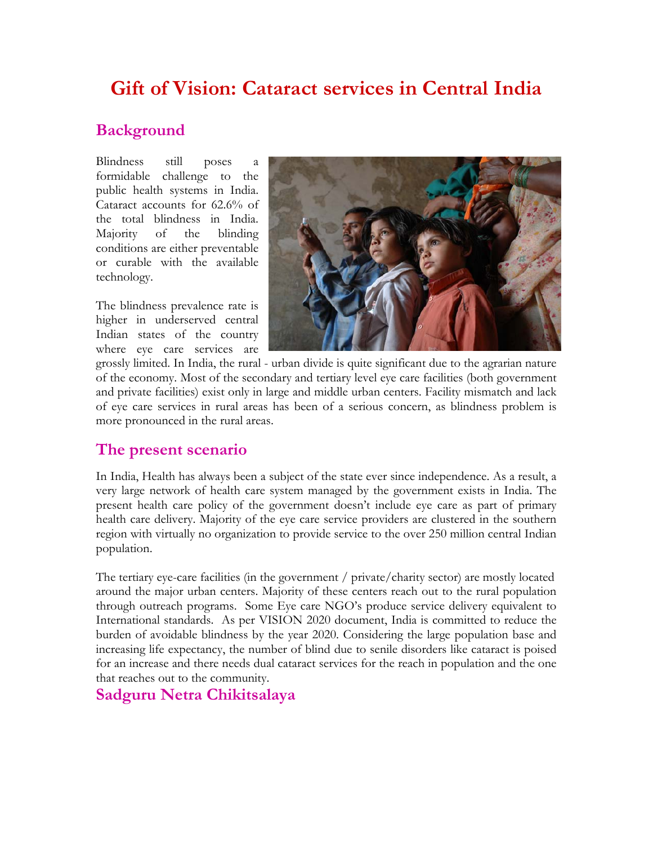# **Gift of Vision: Cataract services in Central India**

## **Background**

Blindness still poses a formidable challenge to the public health systems in India. Cataract accounts for 62.6% of the total blindness in India. Majority of the blinding conditions are either preventable or curable with the available technology.

The blindness prevalence rate is higher in underserved central Indian states of the country where eye care services are



grossly limited. In India, the rural - urban divide is quite significant due to the agrarian nature of the economy. Most of the secondary and tertiary level eye care facilities (both government and private facilities) exist only in large and middle urban centers. Facility mismatch and lack of eye care services in rural areas has been of a serious concern, as blindness problem is more pronounced in the rural areas.

# **The present scenario**

In India, Health has always been a subject of the state ever since independence. As a result, a very large network of health care system managed by the government exists in India. The present health care policy of the government doesn't include eye care as part of primary health care delivery. Majority of the eye care service providers are clustered in the southern region with virtually no organization to provide service to the over 250 million central Indian population.

The tertiary eye-care facilities (in the government / private/charity sector) are mostly located around the major urban centers. Majority of these centers reach out to the rural population through outreach programs. Some Eye care NGO's produce service delivery equivalent to International standards. As per VISION 2020 document, India is committed to reduce the burden of avoidable blindness by the year 2020. Considering the large population base and increasing life expectancy, the number of blind due to senile disorders like cataract is poised for an increase and there needs dual cataract services for the reach in population and the one that reaches out to the community.

## **Sadguru Netra Chikitsalaya**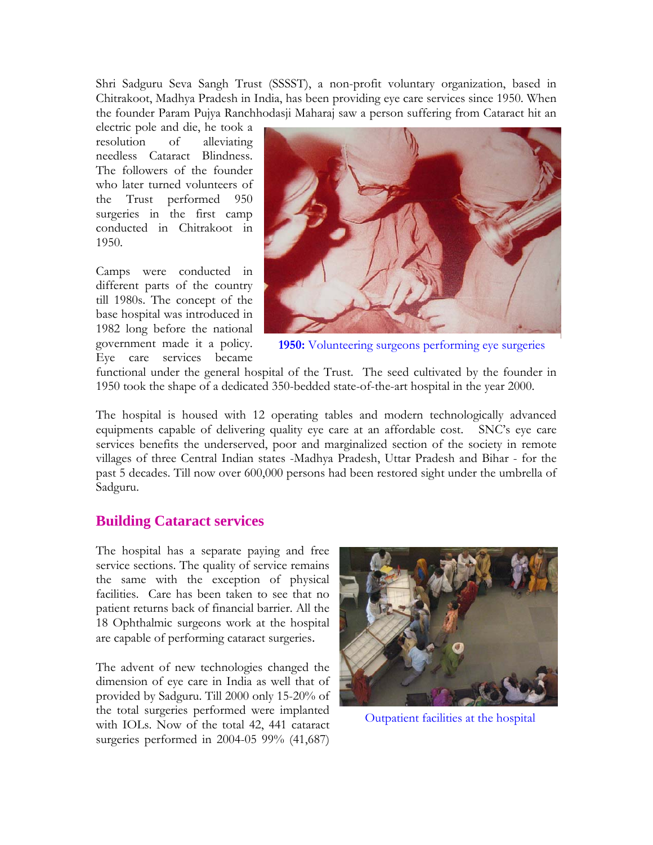Shri Sadguru Seva Sangh Trust (SSSST), a non-profit voluntary organization, based in Chitrakoot, Madhya Pradesh in India, has been providing eye care services since 1950. When the founder Param Pujya Ranchhodasji Maharaj saw a person suffering from Cataract hit an

electric pole and die, he took a resolution of alleviating needless Cataract Blindness. The followers of the founder who later turned volunteers of the Trust performed 950 surgeries in the first camp conducted in Chitrakoot in 1950.

Camps were conducted in different parts of the country till 1980s. The concept of the base hospital was introduced in 1982 long before the national government made it a policy. Eye care services became



**1950:** Volunteering surgeons performing eye surgeries

functional under the general hospital of the Trust. The seed cultivated by the founder in 1950 took the shape of a dedicated 350-bedded state-of-the-art hospital in the year 2000.

The hospital is housed with 12 operating tables and modern technologically advanced equipments capable of delivering quality eye care at an affordable cost. SNC's eye care services benefits the underserved, poor and marginalized section of the society in remote villages of three Central Indian states -Madhya Pradesh, Uttar Pradesh and Bihar - for the past 5 decades. Till now over 600,000 persons had been restored sight under the umbrella of Sadguru.

### **Building Cataract services**

The hospital has a separate paying and free service sections. The quality of service remains the same with the exception of physical facilities. Care has been taken to see that no patient returns back of financial barrier. All the 18 Ophthalmic surgeons work at the hospital are capable of performing cataract surgeries.

The advent of new technologies changed the dimension of eye care in India as well that of provided by Sadguru. Till 2000 only 15-20% of the total surgeries performed were implanted with IOLs. Now of the total 42, 441 cataract surgeries performed in 2004-05 99% (41,687)



Outpatient facilities at the hospital